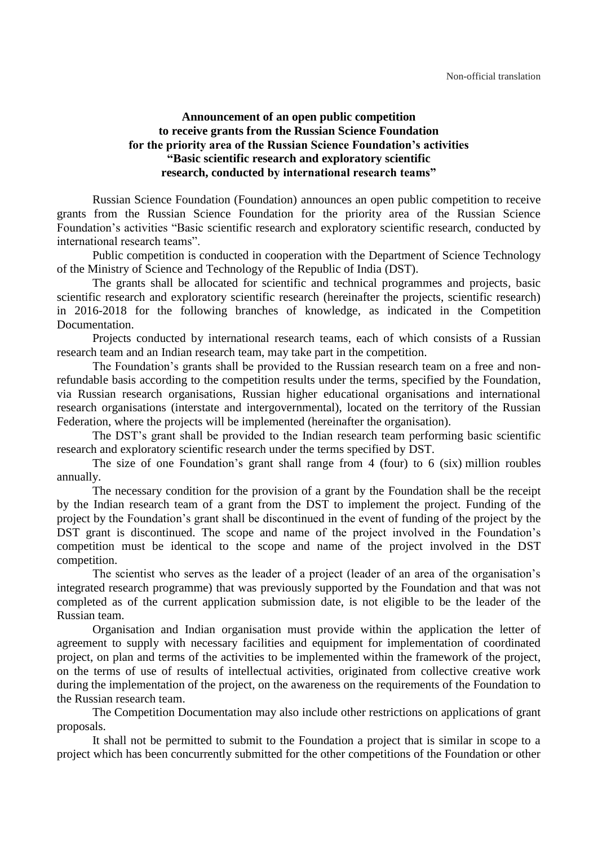## **Announcement of an open public competition to receive grants from the Russian Science Foundation for the priority area of the Russian Science Foundation's activities "Basic scientific research and exploratory scientific research, conducted by international research teams"**

Russian Science Foundation (Foundation) announces an open public competition to receive grants from the Russian Science Foundation for the priority area of the Russian Science Foundation's activities "Basic scientific research and exploratory scientific research, conducted by international research teams".

Public competition is conducted in cooperation with the Department of Science Technology of the Ministry of Science and Technology of the Republic of India (DST).

The grants shall be allocated for scientific and technical programmes and projects, basic scientific research and exploratory scientific research (hereinafter the projects, scientific research) in 2016-2018 for the following branches of knowledge, as indicated in the Competition Documentation.

Projects conducted by international research teams, each of which consists of a Russian research team and an Indian research team, may take part in the competition.

The Foundation's grants shall be provided to the Russian research team on a free and nonrefundable basis according to the competition results under the terms, specified by the Foundation, via Russian research organisations, Russian higher educational organisations and international research organisations (interstate and intergovernmental), located on the territory of the Russian Federation, where the projects will be implemented (hereinafter the organisation).

The DST's grant shall be provided to the Indian research team performing basic scientific research and exploratory scientific research under the terms specified by DST.

The size of one Foundation's grant shall range from 4 (four) to 6 (six) million roubles annually.

The necessary condition for the provision of a grant by the Foundation shall be the receipt by the Indian research team of a grant from the DST to implement the project. Funding of the project by the Foundation's grant shall be discontinued in the event of funding of the project by the DST grant is discontinued. The scope and name of the project involved in the Foundation's competition must be identical to the scope and name of the project involved in the DST competition.

The scientist who serves as the leader of a project (leader of an area of the organisation's integrated research programme) that was previously supported by the Foundation and that was not completed as of the current application submission date, is not eligible to be the leader of the Russian team.

Organisation and Indian organisation must provide within the application the letter of agreement to supply with necessary facilities and equipment for implementation of coordinated project, on plan and terms of the activities to be implemented within the framework of the project, on the terms of use of results of intellectual activities, originated from collective creative work during the implementation of the project, on the awareness on the requirements of the Foundation to the Russian research team.

The Competition Documentation may also include other restrictions on applications of grant proposals.

It shall not be permitted to submit to the Foundation a project that is similar in scope to a project which has been concurrently submitted for the other competitions of the Foundation or other